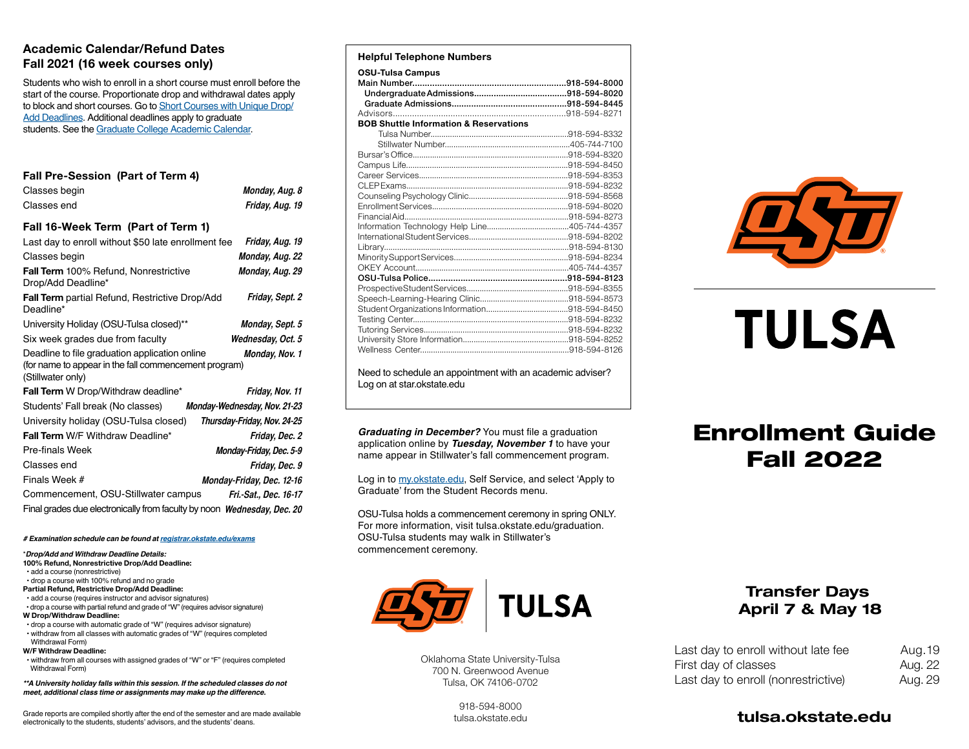#### **Academic Calendar/Refund Dates Fall 2021 (16 week courses only)**

Students who wish to enroll in a short course must enroll before the start of the course. Proportionate drop and withdrawal dates apply to block and short courses. Go to [Short Courses with Unique Drop/](https://registrar.okstate.edu/class_schedule_short_courses/short_courses.html) [Add Deadlines.](https://registrar.okstate.edu/class_schedule_short_courses/short_courses.html) Additional deadlines apply to graduate students. See the [Graduate College Academic Calendar.](https://gradcollege.okstate.edu/resources/student-resources.html)

#### **Fall Pre-Session (Part of Term 4)**

| Classes begin                                                                                                                | Monday, Aug. 8               |
|------------------------------------------------------------------------------------------------------------------------------|------------------------------|
| Classes end                                                                                                                  | Friday, Aug. 19              |
| Fall 16-Week Term (Part of Term 1)                                                                                           |                              |
| Last day to enroll without \$50 late enrollment fee                                                                          | Friday, Aug. 19              |
| Classes begin                                                                                                                | Monday, Aug. 22              |
| Fall Term 100% Refund, Nonrestrictive<br>Drop/Add Deadline*                                                                  | Monday, Aug. 29              |
| Fall Term partial Refund, Restrictive Drop/Add<br>Deadline*                                                                  | Friday, Sept. 2              |
| University Holiday (OSU-Tulsa closed)**                                                                                      | Monday, Sept. 5              |
| Six week grades due from faculty                                                                                             | Wednesday, Oct. 5            |
| Deadline to file graduation application online<br>(for name to appear in the fall commencement program)<br>(Stillwater only) | Monday, Nov. 1               |
| Fall Term W Drop/Withdraw deadline*                                                                                          | Friday, Nov. 11              |
| Students' Fall break (No classes)                                                                                            | Monday-Wednesday, Nov. 21-23 |
| University holiday (OSU-Tulsa closed)                                                                                        | Thursday-Friday, Nov. 24-25  |
| Fall Term W/F Withdraw Deadline*                                                                                             | Friday, Dec. 2               |
| Pre-finals Week                                                                                                              | Monday-Friday, Dec. 5-9      |
| Classes end                                                                                                                  | Friday, Dec. 9               |
| Finals Week #                                                                                                                | Monday-Friday, Dec. 12-16    |
| Commencement, OSU-Stillwater campus                                                                                          | Fri.-Sat., Dec. 16-17        |
| Final grades due electronically from faculty by noon Wednesday, Dec. 20                                                      |                              |

*# Examination schedule can be found at [registrar.okstate.edu/exams](https://registrar.okstate.edu/class_schedule_short_courses/exams.html)*

\**Drop/Add and Withdraw Deadline Details:* **100% Refund, Nonrestrictive Drop/Add Deadline:**

• add a course (nonrestrictive)

- drop a course with 100% refund and no grade
- **Partial Refund, Restrictive Drop/Add Deadline:**
- add a course (requires instructor and advisor signatures)
- drop a course with partial refund and grade of "W" (requires advisor signature) **W Drop/Withdraw Deadline:**
- drop a course with automatic grade of "W" (requires advisor signature) • withdraw from all classes with automatic grades of "W" (requires completed Withdrawal Form)

#### **W/F Withdraw Deadline:**

 • withdraw from all courses with assigned grades of "W" or "F" (requires completed Withdrawal Form)

*\*\*A University holiday falls within this session. If the scheduled classes do not meet, additional class time or assignments may make up the difference.*

Grade reports are compiled shortly after the end of the semester and are made available electronically to the students, students' advisors, and the students' deans.

#### **Helpful Telephone Numbers**

| <b>OSU-Tulsa Campus</b>                           |  |
|---------------------------------------------------|--|
|                                                   |  |
|                                                   |  |
|                                                   |  |
|                                                   |  |
| <b>BOB Shuttle Information &amp; Reservations</b> |  |
|                                                   |  |
|                                                   |  |
|                                                   |  |
|                                                   |  |
|                                                   |  |
|                                                   |  |
|                                                   |  |
|                                                   |  |
|                                                   |  |
|                                                   |  |
|                                                   |  |
|                                                   |  |
|                                                   |  |
|                                                   |  |
|                                                   |  |
|                                                   |  |
|                                                   |  |
|                                                   |  |
|                                                   |  |
|                                                   |  |
|                                                   |  |
|                                                   |  |

Need to schedule an appointment with an academic adviser? Log on at star.okstate.edu

*Graduating in December?* You must file a graduation application online by *Tuesday, November 1* to have your name appear in Stillwater's fall commencement program.

Log in to [my.okstate.edu](https://my.okstate.edu), Self Service, and select 'Apply to Graduate' from the Student Records menu.

OSU-Tulsa holds a commencement ceremony in spring ONLY. For more information, visit tulsa.okstate.edu/graduation. OSU-Tulsa students may walk in Stillwater's commencement ceremony.



Oklahoma State University-Tulsa 700 N. Greenwood Avenue Tulsa, OK 74106-0702



# **TULSA**

# Enrollment Guide Fall 2022

# Transfer Days April 7 & May 18

| Last day to enroll without late fee | Aug. 19 |
|-------------------------------------|---------|
| First day of classes                | Aug. 22 |
| Last day to enroll (nonrestrictive) | Aug. 29 |

918-594-8000 [tulsa.okstate.edu](https://tulsa.okstate.edu)

# [tulsa.okstate.edu](https://tulsa.okstate.edu)